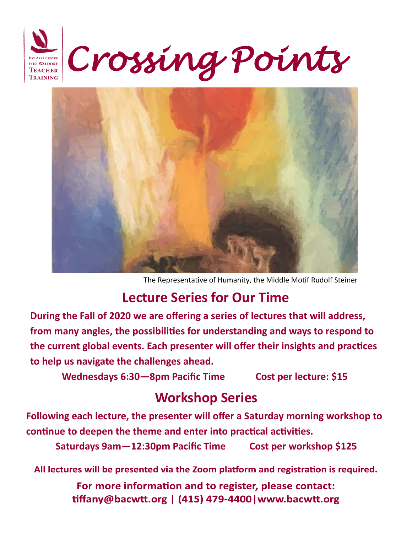



The Representative of Humanity, the Middle Motif Rudolf Steiner

## **Lecture Series for Our Time**

**During the Fall of 2020 we are offering a series of lectures that will address, from many angles, the possibilities for understanding and ways to respond to the current global events. Each presenter will offer their insights and practices to help us navigate the challenges ahead.**

**Wednesdays 6:30—8pm Pacific Time Cost per lecture: \$15** 

## **Workshop Series**

**Following each lecture, the presenter will offer a Saturday morning workshop to continue to deepen the theme and enter into practical activities.**

**Saturdays 9am—12:30pm Pacific Time Cost per workshop \$125**

All lectures will be presented via the Zoom platform and registration is required.

For more information and to register, please contact: tiffany@bacwtt.org | (415) 479-4400 | www.bacwtt.org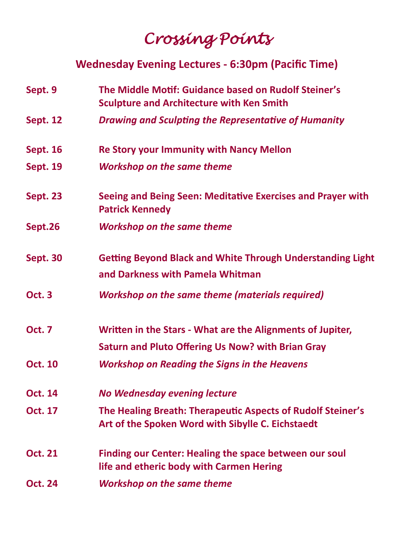## *Crossing Points*

## **Wednesday Evening Lectures - 6:30pm (Pacific Time)**

- **Sept. 9 The Middle Motif: Guidance based on Rudolf Steiner's Sculpture and Architecture with Ken Smith**
- **Sept. 12** *Drawing and Sculpting the Representative of Humanity*
- **Sept. 16 Re Story your Immunity with Nancy Mellon**
- **Sept. 19** *Workshop on the same theme*
- **Sept. 23 Seeing and Being Seen: Meditative Exercises and Prayer with Patrick Kennedy**
- **Sept.26** *Workshop on the same theme*
- **Sept. 30 Getting Beyond Black and White Through Understanding Light and Darkness with Pamela Whitman**
- **Oct. 3** *Workshop on the same theme (materials required)*
- **Oct. 7 Written in the Stars - What are the Alignments of Jupiter,**
	- **Saturn and Pluto Offering Us Now? with Brian Gray**
- **Oct. 10** *Workshop on Reading the Signs in the Heavens*
- **Oct. 14** *No Wednesday evening lecture*
- **Oct. 17 The Healing Breath: Therapeutic Aspects of Rudolf Steiner's Art of the Spoken Word with Sibylle C. Eichstaedt**
- **Oct. 21 Finding our Center: Healing the space between our soul life and etheric body with Carmen Hering**
- **Oct. 24** *Workshop on the same theme*